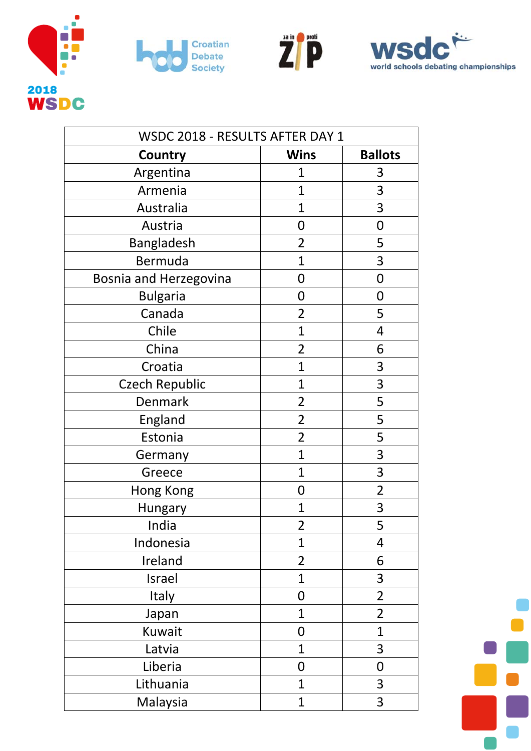







| WSDC 2018 - RESULTS AFTER DAY 1 |                |                |  |
|---------------------------------|----------------|----------------|--|
| Country                         | <b>Wins</b>    | <b>Ballots</b> |  |
| Argentina                       | $\overline{1}$ | 3              |  |
| Armenia                         | $\mathbf{1}$   | 3              |  |
| Australia                       | $\mathbf{1}$   | 3              |  |
| Austria                         | 0              | 0              |  |
| Bangladesh                      | $\overline{2}$ | 5              |  |
| Bermuda                         | $\mathbf{1}$   | 3              |  |
| Bosnia and Herzegovina          | 0              | $\mathbf 0$    |  |
| <b>Bulgaria</b>                 | 0              | 0              |  |
| Canada                          | $\overline{2}$ | 5              |  |
| Chile                           | $\mathbf{1}$   | 4              |  |
| China                           | $\overline{2}$ | 6              |  |
| Croatia                         | $\mathbf{1}$   | 3              |  |
| <b>Czech Republic</b>           | $\mathbf{1}$   | 3              |  |
| Denmark                         | $\overline{2}$ | 5              |  |
| England                         | $\overline{2}$ | 5              |  |
| Estonia                         | $\overline{2}$ | 5              |  |
| Germany                         | $\mathbf{1}$   | 3              |  |
| Greece                          | $\mathbf{1}$   | 3              |  |
| Hong Kong                       | 0              | $\overline{2}$ |  |
| <b>Hungary</b>                  | 1              | 3              |  |
| India                           | $\overline{2}$ | 5              |  |
| Indonesia                       | $\mathbf{1}$   | 4              |  |
| Ireland                         | $\overline{2}$ | 6              |  |
| Israel                          | $\overline{1}$ | 3              |  |
| Italy                           | 0              | $\overline{2}$ |  |
| Japan                           | $\mathbf{1}$   | $\overline{2}$ |  |
| Kuwait                          | $\mathbf 0$    | $\mathbf{1}$   |  |
| Latvia                          | $\mathbf{1}$   | 3              |  |
| Liberia                         | $\mathbf 0$    | 0              |  |
| Lithuania                       | $\mathbf{1}$   | 3              |  |
| Malaysia                        | $\mathbf 1$    | 3              |  |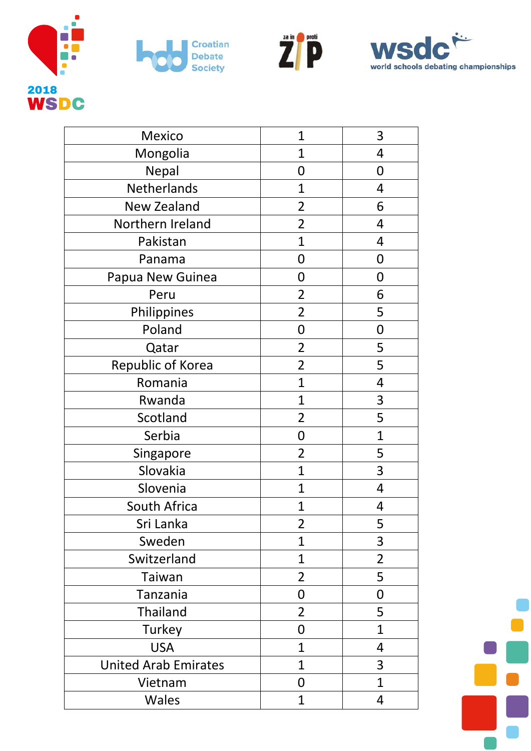







| Mexico                      | $\mathbf{1}$   | 3              |
|-----------------------------|----------------|----------------|
| Mongolia                    | $\overline{1}$ | 4              |
| Nepal                       | $\mathbf 0$    | $\mathbf 0$    |
| Netherlands                 | $\mathbf{1}$   | 4              |
| New Zealand                 | $\overline{2}$ | 6              |
| Northern Ireland            | $\overline{2}$ | 4              |
| Pakistan                    | $\overline{1}$ | 4              |
| Panama                      | 0              | 0              |
| Papua New Guinea            | 0              | $\mathbf 0$    |
| Peru                        | $\overline{2}$ | 6              |
| Philippines                 | $\overline{2}$ | 5              |
| Poland                      | $\mathbf 0$    | $\mathbf 0$    |
| Qatar                       | $\overline{2}$ | 5              |
| Republic of Korea           | $\overline{2}$ | 5              |
| Romania                     | $\overline{1}$ | 4              |
| Rwanda                      | $\mathbf 1$    | 3              |
| Scotland                    | $\overline{2}$ | 5              |
| Serbia                      | $\mathbf 0$    | $\mathbf{1}$   |
| Singapore                   | $\overline{2}$ | 5              |
| Slovakia                    | $\overline{1}$ | 3              |
| Slovenia                    | 1              | 4              |
| South Africa                | $\overline{1}$ | 4              |
| Sri Lanka                   | $\overline{2}$ | 5              |
| Sweden                      | $\mathbf{1}$   | 3              |
| Switzerland                 | $\overline{1}$ | $\overline{2}$ |
| Taiwan                      | $\overline{2}$ | 5              |
| Tanzania                    | 0              | 0              |
| <b>Thailand</b>             | $\overline{2}$ | 5              |
| Turkey                      | 0              | $\mathbf{1}$   |
| <b>USA</b>                  | 1              | 4              |
| <b>United Arab Emirates</b> | 1              | 3              |
| Vietnam                     | 0              | $\overline{1}$ |
| <b>Wales</b>                | $\mathbf 1$    | 4              |